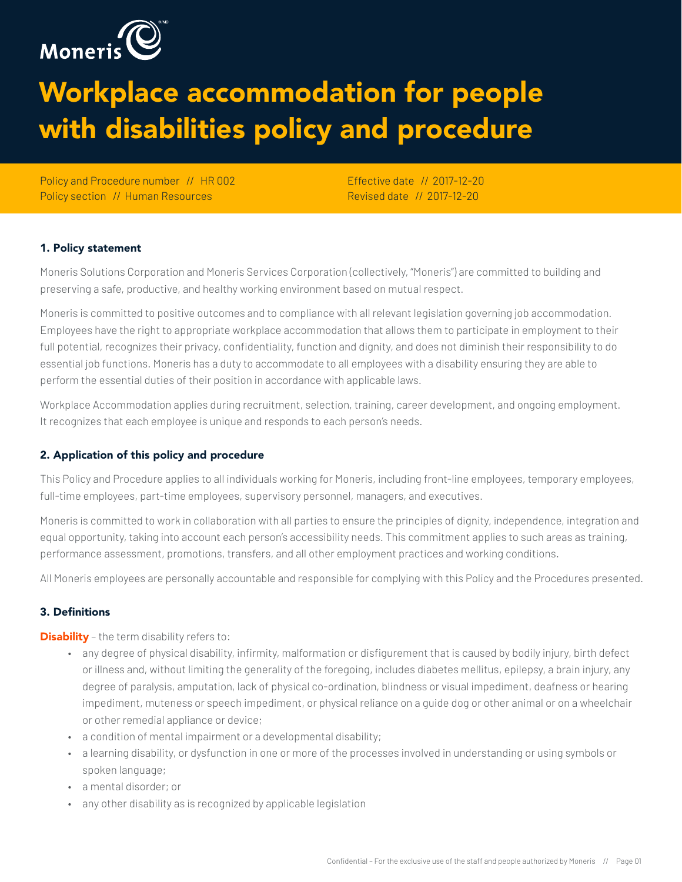

# Workplace accommodation for people with disabilities policy and procedure

Policy and Procedure number // HR 002 Policy section // Human Resources

Effective date // 2017-12-20 Revised date // 2017-12-20

# 1. Policy statement

Moneris Solutions Corporation and Moneris Services Corporation (collectively, "Moneris") are committed to building and preserving a safe, productive, and healthy working environment based on mutual respect.

Moneris is committed to positive outcomes and to compliance with all relevant legislation governing job accommodation. Employees have the right to appropriate workplace accommodation that allows them to participate in employment to their full potential, recognizes their privacy, confidentiality, function and dignity, and does not diminish their responsibility to do essential job functions. Moneris has a duty to accommodate to all employees with a disability ensuring they are able to perform the essential duties of their position in accordance with applicable laws.

Workplace Accommodation applies during recruitment, selection, training, career development, and ongoing employment. It recognizes that each employee is unique and responds to each person's needs.

# 2. Application of this policy and procedure

This Policy and Procedure applies to all individuals working for Moneris, including front-line employees, temporary employees, full-time employees, part-time employees, supervisory personnel, managers, and executives.

Moneris is committed to work in collaboration with all parties to ensure the principles of dignity, independence, integration and equal opportunity, taking into account each person's accessibility needs. This commitment applies to such areas as training, performance assessment, promotions, transfers, and all other employment practices and working conditions.

All Moneris employees are personally accountable and responsible for complying with this Policy and the Procedures presented.

# 3. Definitions

**Disability** - the term disability refers to:

- any degree of physical disability, infirmity, malformation or disfigurement that is caused by bodily injury, birth defect or illness and, without limiting the generality of the foregoing, includes diabetes mellitus, epilepsy, a brain injury, any degree of paralysis, amputation, lack of physical co-ordination, blindness or visual impediment, deafness or hearing impediment, muteness or speech impediment, or physical reliance on a guide dog or other animal or on a wheelchair or other remedial appliance or device;
- a condition of mental impairment or a developmental disability;
- a learning disability, or dysfunction in one or more of the processes involved in understanding or using symbols or spoken language;
- a mental disorder; or
- any other disability as is recognized by applicable legislation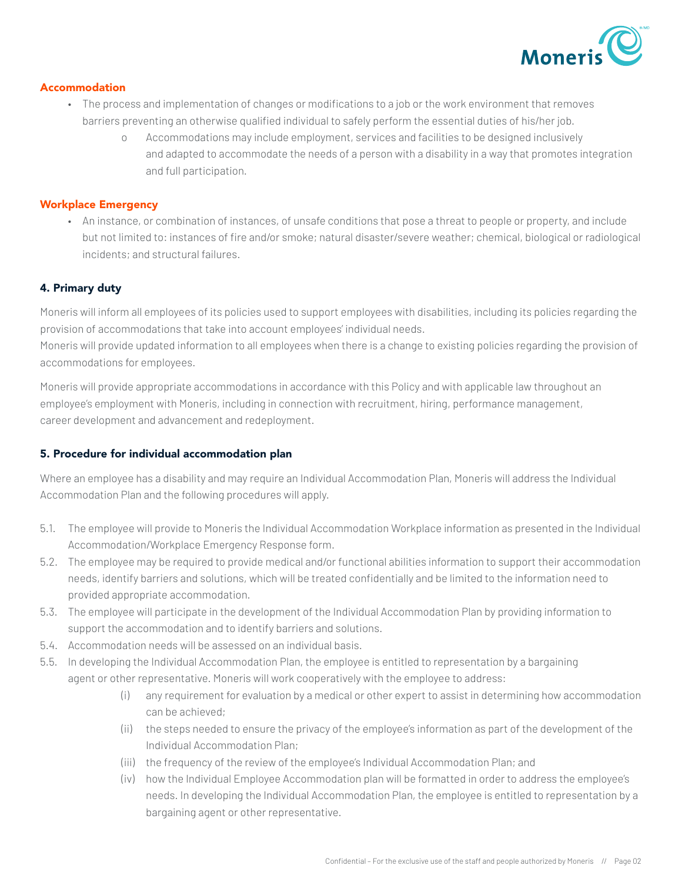

#### Accommodation

- The process and implementation of changes or modifications to a job or the work environment that removes barriers preventing an otherwise qualified individual to safely perform the essential duties of his/her job.
	- o Accommodations may include employment, services and facilities to be designed inclusively and adapted to accommodate the needs of a person with a disability in a way that promotes integration and full participation.

#### Workplace Emergency

• An instance, or combination of instances, of unsafe conditions that pose a threat to people or property, and include but not limited to: instances of fire and/or smoke; natural disaster/severe weather; chemical, biological or radiological incidents; and structural failures.

# 4. Primary duty

Moneris will inform all employees of its policies used to support employees with disabilities, including its policies regarding the provision of accommodations that take into account employees' individual needs.

Moneris will provide updated information to all employees when there is a change to existing policies regarding the provision of accommodations for employees.

Moneris will provide appropriate accommodations in accordance with this Policy and with applicable law throughout an employee's employment with Moneris, including in connection with recruitment, hiring, performance management, career development and advancement and redeployment.

# 5. Procedure for individual accommodation plan

Where an employee has a disability and may require an Individual Accommodation Plan, Moneris will address the Individual Accommodation Plan and the following procedures will apply.

- 5.1. The employee will provide to Moneris the Individual Accommodation Workplace information as presented in the Individual Accommodation/Workplace Emergency Response form.
- 5.2. The employee may be required to provide medical and/or functional abilities information to support their accommodation needs, identify barriers and solutions, which will be treated confidentially and be limited to the information need to provided appropriate accommodation.
- 5.3. The employee will participate in the development of the Individual Accommodation Plan by providing information to support the accommodation and to identify barriers and solutions.
- 5.4. Accommodation needs will be assessed on an individual basis.
- 5.5. In developing the Individual Accommodation Plan, the employee is entitled to representation by a bargaining agent or other representative. Moneris will work cooperatively with the employee to address:
	- (i) any requirement for evaluation by a medical or other expert to assist in determining how accommodation can be achieved;
	- (ii) the steps needed to ensure the privacy of the employee's information as part of the development of the Individual Accommodation Plan;
	- (iii) the frequency of the review of the employee's Individual Accommodation Plan; and
	- (iv) how the Individual Employee Accommodation plan will be formatted in order to address the employee's needs. In developing the Individual Accommodation Plan, the employee is entitled to representation by a bargaining agent or other representative.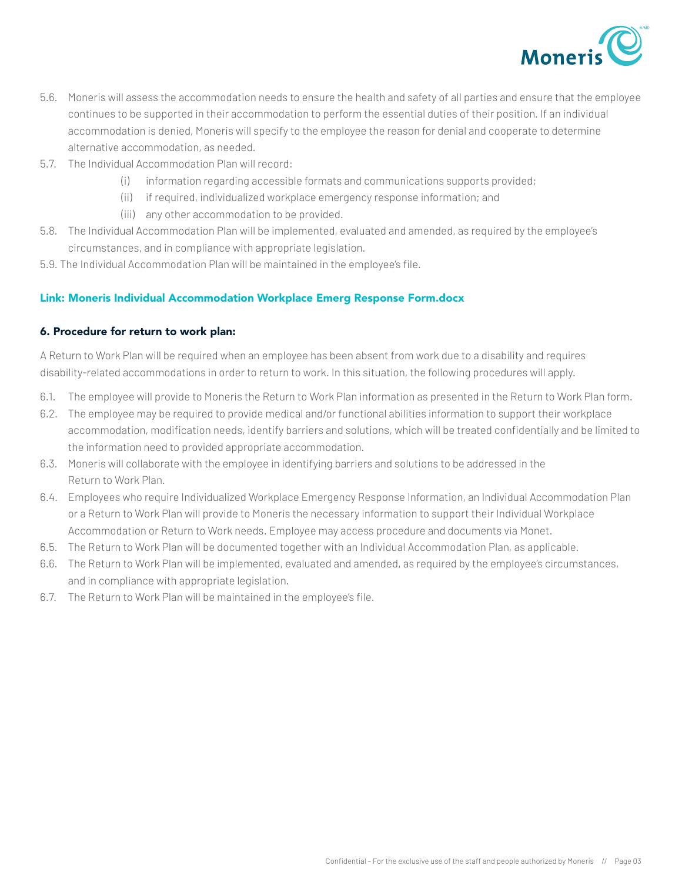

- 5.6. Moneris will assess the accommodation needs to ensure the health and safety of all parties and ensure that the employee continues to be supported in their accommodation to perform the essential duties of their position. If an individual accommodation is denied, Moneris will specify to the employee the reason for denial and cooperate to determine alternative accommodation, as needed.
- 5.7. The Individual Accommodation Plan will record:
	- (i) information regarding accessible formats and communications supports provided;
	- (ii) if required, individualized workplace emergency response information; and
	- (iii) any other accommodation to be provided.
- 5.8. The Individual Accommodation Plan will be implemented, evaluated and amended, as required by the employee's circumstances, and in compliance with appropriate legislation.
- 5.9. The Individual Accommodation Plan will be maintained in the employee's file.

#### Link: Moneris Individual Accommodation Workplace Emerg Response Form.docx

#### 6. Procedure for return to work plan:

A Return to Work Plan will be required when an employee has been absent from work due to a disability and requires disability-related accommodations in order to return to work. In this situation, the following procedures will apply.

- 6.1. The employee will provide to Moneris the Return to Work Plan information as presented in the Return to Work Plan form.
- 6.2. The employee may be required to provide medical and/or functional abilities information to support their workplace accommodation, modification needs, identify barriers and solutions, which will be treated confidentially and be limited to the information need to provided appropriate accommodation.
- 6.3. Moneris will collaborate with the employee in identifying barriers and solutions to be addressed in the Return to Work Plan.
- 6.4. Employees who require Individualized Workplace Emergency Response Information, an Individual Accommodation Plan or a Return to Work Plan will provide to Moneris the necessary information to support their Individual Workplace Accommodation or Return to Work needs. Employee may access procedure and documents via Monet.
- 6.5. The Return to Work Plan will be documented together with an Individual Accommodation Plan, as applicable.
- 6.6. The Return to Work Plan will be implemented, evaluated and amended, as required by the employee's circumstances, and in compliance with appropriate legislation.
- 6.7. The Return to Work Plan will be maintained in the employee's file.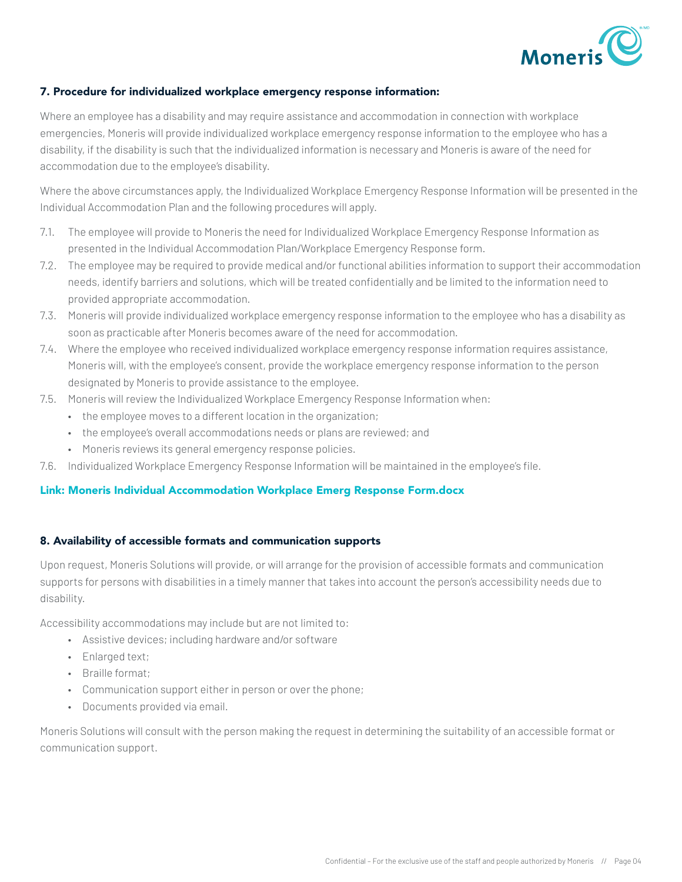

#### 7. Procedure for individualized workplace emergency response information:

Where an employee has a disability and may require assistance and accommodation in connection with workplace emergencies, Moneris will provide individualized workplace emergency response information to the employee who has a disability, if the disability is such that the individualized information is necessary and Moneris is aware of the need for accommodation due to the employee's disability.

Where the above circumstances apply, the Individualized Workplace Emergency Response Information will be presented in the Individual Accommodation Plan and the following procedures will apply.

- 7.1. The employee will provide to Moneris the need for Individualized Workplace Emergency Response Information as presented in the Individual Accommodation Plan/Workplace Emergency Response form.
- 7.2. The employee may be required to provide medical and/or functional abilities information to support their accommodation needs, identify barriers and solutions, which will be treated confidentially and be limited to the information need to provided appropriate accommodation.
- 7.3. Moneris will provide individualized workplace emergency response information to the employee who has a disability as soon as practicable after Moneris becomes aware of the need for accommodation.
- 7.4. Where the employee who received individualized workplace emergency response information requires assistance, Moneris will, with the employee's consent, provide the workplace emergency response information to the person designated by Moneris to provide assistance to the employee.
- 7.5. Moneris will review the Individualized Workplace Emergency Response Information when:
	- the employee moves to a different location in the organization;
	- the employee's overall accommodations needs or plans are reviewed; and
	- Moneris reviews its general emergency response policies.
- 7.6. Individualized Workplace Emergency Response Information will be maintained in the employee's file.

#### Link: Moneris Individual Accommodation Workplace Emerg Response Form.docx

#### 8. Availability of accessible formats and communication supports

Upon request, Moneris Solutions will provide, or will arrange for the provision of accessible formats and communication supports for persons with disabilities in a timely manner that takes into account the person's accessibility needs due to disability.

Accessibility accommodations may include but are not limited to:

- Assistive devices; including hardware and/or software
- Enlarged text;
- Braille format;
- Communication support either in person or over the phone;
- Documents provided via email.

Moneris Solutions will consult with the person making the request in determining the suitability of an accessible format or communication support.